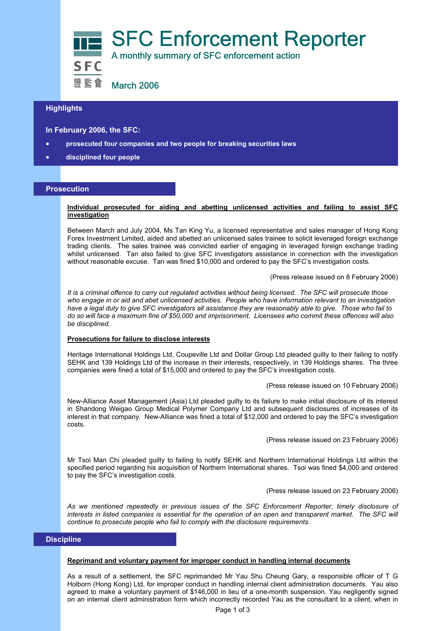

# **Highlights**

**In February 2006, the SFC:** 

- **prosecuted four companies and two people for breaking securities laws**
- **disciplined four people**

#### **Prosecution**

## **Individual prosecuted for aiding and abetting unlicensed activities and failing to assist SFC investigation**

Between March and July 2004, Ms Tan King Yu, a licensed representative and sales manager of Hong Kong Forex Investment Limited, aided and abetted an unlicensed sales trainee to solicit leveraged foreign exchange trading clients. The sales trainee was convicted earlier of engaging in leveraged foreign exchange trading whilst unlicensed. Tan also failed to give SFC investigators assistance in connection with the investigation without reasonable excuse. Tan was fined \$10,000 and ordered to pay the SFC's investigation costs.

(Press release issued on 8 February 2006)

*It is a criminal offence to carry out regulated activities without being licensed. The SFC will prosecute those who engage in or aid and abet unlicensed activities. People who have information relevant to an investigation have a legal duty to give SFC investigators all assistance they are reasonably able to give. Those who fail to do so will face a maximum fine of \$50,000 and imprisonment. Licensees who commit these offences will also be disciplined.* 

# **Prosecutions for failure to disclose interests**

Heritage International Holdings Ltd, Coupeville Ltd and Dollar Group Ltd pleaded guilty to their failing to notify SEHK and 139 Holdings Ltd of the increase in their interests, respectively, in 139 Holdings shares. The three companies were fined a total of \$15,000 and ordered to pay the SFC's investigation costs.

(Press release issued on 10 February 2006)

New-Alliance Asset Management (Asia) Ltd pleaded guilty to its failure to make initial disclosure of its interest in Shandong Weigao Group Medical Polymer Company Ltd and subsequent disclosures of increases of its interest in that company. New-Alliance was fined a total of \$12,000 and ordered to pay the SFC's investigation costs.

(Press release issued on 23 February 2006)

Mr Tsoi Man Chi pleaded guilty to failing to notify SEHK and Northern International Holdings Ltd within the specified period regarding his acquisition of Northern International shares. Tsoi was fined \$4,000 and ordered to pay the SFC's investigation costs.

(Press release issued on 23 February 2006)

*As we mentioned repeatedly in previous issues of the SFC Enforcement Reporter, timely disclosure of*  interests in listed companies is essential for the operation of an open and transparent market. The SFC will *continue to prosecute people who fail to comply with the disclosure requirements.* 

# **Discipline**

#### **Reprimand and voluntary payment for improper conduct in handling internal documents**

As a result of a settlement, the SFC reprimanded Mr Yau Shu Cheung Gary, a responsible officer of T G Holborn (Hong Kong) Ltd, for improper conduct in handling internal client administration documents. Yau also agreed to make a voluntary payment of \$146,000 in lieu of a one-month suspension. Yau negligently signed on an internal client administration form which incorrectly recorded Yau as the consultant to a client, when in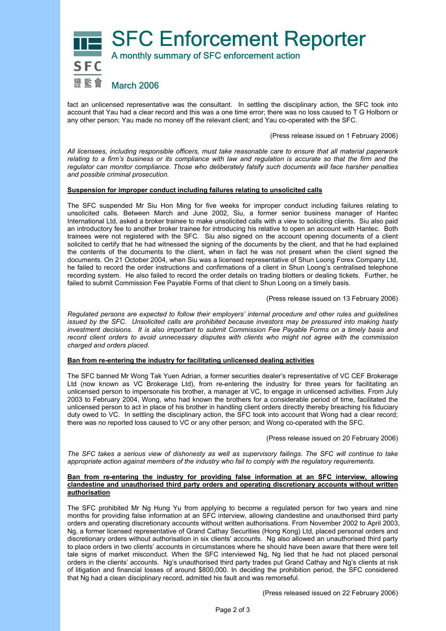

fact an unlicensed representative was the consultant. In settling the disciplinary action, the SFC took into account that Yau had a clear record and this was a one time error; there was no loss caused to T G Holborn or any other person; Yau made no money off the relevant client; and Yau co-operated with the SFC.

(Press release issued on 1 February 2006)

*All licensees, including responsible officers, must take reasonable care to ensure that all material paperwork relating to a firm's business or its compliance with law and regulation is accurate so that the firm and the regulator can monitor compliance. Those who deliberately falsify such documents will face harsher penalties and possible criminal prosecution.* 

# **Suspension for improper conduct including failures relating to unsolicited calls**

The SFC suspended Mr Siu Hon Ming for five weeks for improper conduct including failures relating to unsolicited calls. Between March and June 2002, Siu, a former senior business manager of Hantec International Ltd, asked a broker trainee to make unsolicited calls with a view to soliciting clients. Siu also paid an introductory fee to another broker trainee for introducing his relative to open an account with Hantec. Both trainees were not registered with the SFC. Siu also signed on the account opening documents of a client solicited to certify that he had witnessed the signing of the documents by the client, and that he had explained the contents of the documents to the client, when in fact he was not present when the client signed the documents. On 21 October 2004, when Siu was a licensed representative of Shun Loong Forex Company Ltd, he failed to record the order instructions and confirmations of a client in Shun Loong's centralised telephone recording system. He also failed to record the order details on trading blotters or dealing tickets. Further, he failed to submit Commission Fee Payable Forms of that client to Shun Loong on a timely basis.

(Press release issued on 13 February 2006)

*Regulated persons are expected to follow their employers' internal procedure and other rules and guidelines issued by the SFC. Unsolicited calls are prohibited because investors may be pressured into making hasty investment decisions. It is also important to submit Commission Fee Payable Forms on a timely basis and record client orders to avoid unnecessary disputes with clients who might not agree with the commission charged and orders placed.* 

# **Ban from re-entering the industry for facilitating unlicensed dealing activities**

The SFC banned Mr Wong Tak Yuen Adrian, a former securities dealer's representative of VC CEF Brokerage Ltd (now known as VC Brokerage Ltd), from re-entering the industry for three years for facilitating an unlicensed person to impersonate his brother, a manager at VC, to engage in unlicensed activities. From July 2003 to February 2004, Wong, who had known the brothers for a considerable period of time, facilitated the unlicensed person to act in place of his brother in handling client orders directly thereby breaching his fiduciary duty owed to VC. In settling the disciplinary action, the SFC took into account that Wong had a clear record; there was no reported loss caused to VC or any other person; and Wong co-operated with the SFC.

(Press release issued on 20 February 2006)

*The SFC takes a serious view of dishonesty as well as supervisory failings. The SFC will continue to take appropriate action against members of the industry who fail to comply with the regulatory requirements.* 

## **Ban from re-entering the industry for providing false information at an SFC interview, allowing clandestine and unauthorised third party orders and operating discretionary accounts without written authorisation**

The SFC prohibited Mr Ng Hung Yu from applying to become a regulated person for two years and nine months for providing false information at an SFC interview, allowing clandestine and unauthorised third party orders and operating discretionary accounts without written authorisations. From November 2002 to April 2003, Ng, a former licensed representative of Grand Cathay Securities (Hong Kong) Ltd, placed personal orders and discretionary orders without authorisation in six clients' accounts. Ng also allowed an unauthorised third party to place orders in two clients' accounts in circumstances where he should have been aware that there were tell tale signs of market misconduct. When the SFC interviewed Ng, Ng lied that he had not placed personal orders in the clients' accounts. Ng's unauthorised third party trades put Grand Cathay and Ng's clients at risk of litigation and financial losses of around \$800,000. In deciding the prohibition period, the SFC considered that Ng had a clean disciplinary record, admitted his fault and was remorseful.